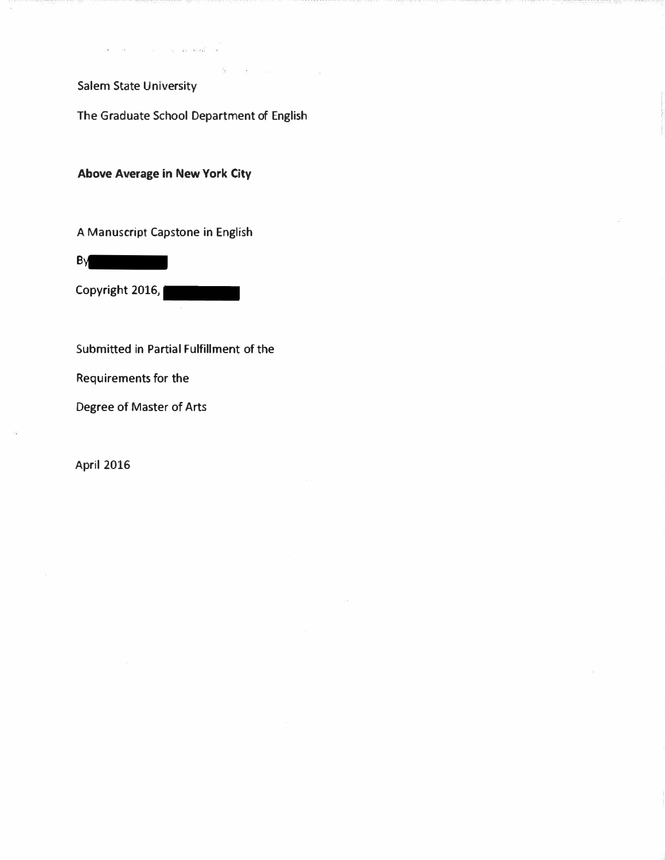Salem State University

The Graduate School Department of English

 $\mathcal{A}_\text{eff}$  .

**Above A�erage in New York City** 

A Manuscript Capstone in English

**B**y

Copyright 2016,

Submitted in Partial Fulfillment of the

Requirements for the

Degree of Master of Arts

April 2016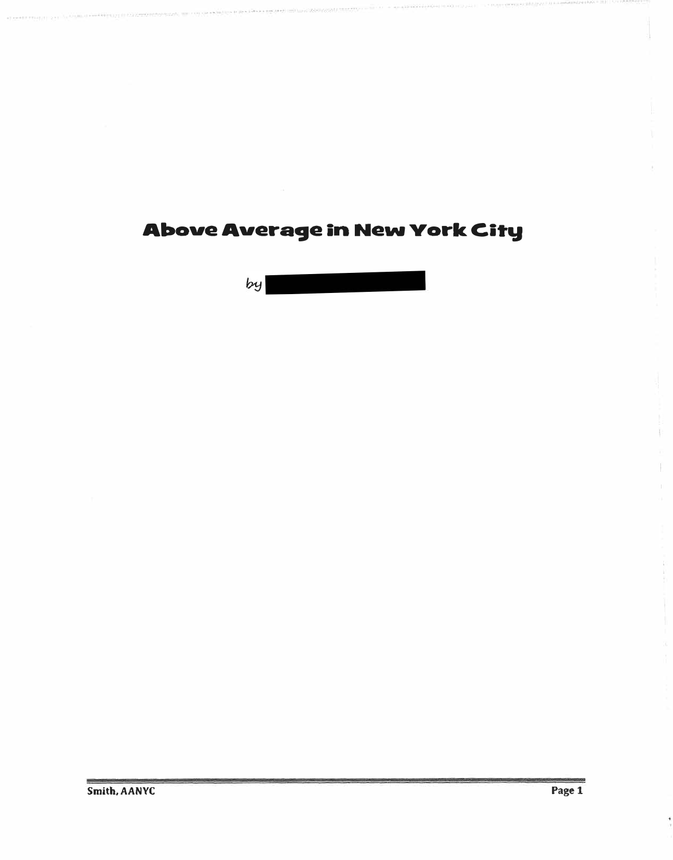**Above Average in New York City** 

. . ... . . . . -.�... .. . ..

 $by$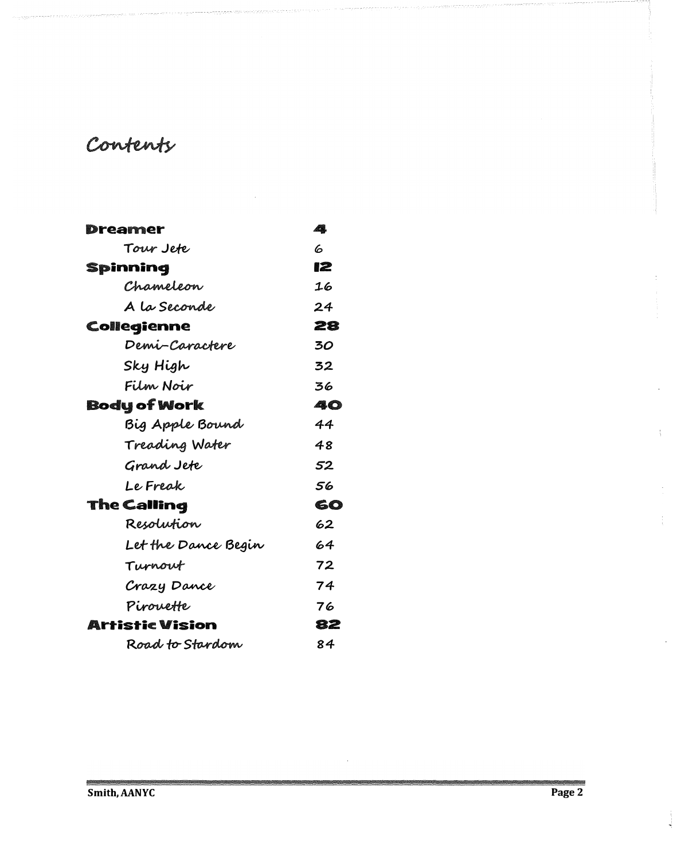# Contents

| Dreamer             | 4  |
|---------------------|----|
| Tour Jete           | h, |
| Spinning            | 12 |
| Chameleon           | 16 |
| A la Seconde        | 24 |
| Collegienne         | 28 |
| Demi-Caractere      | 30 |
| Sky High            | 32 |
| Film Noir           | 36 |
| <b>Body of Work</b> | 40 |
| Big Apple Bound     | 44 |
| Treading Water      | 48 |
| Grand Jete          | 52 |
| Le Freak            | 56 |
| The Calling         | 60 |
| Resolution          | 62 |
| Let the Dance Begin | 64 |
| Turnout             | 72 |
| Crazy Dance         | 74 |
| PiroveHe            | 76 |
| Artistic Vision     | 82 |
| Road to Stardom     | 84 |

 $\ddot{\phantom{1}}$ 

j.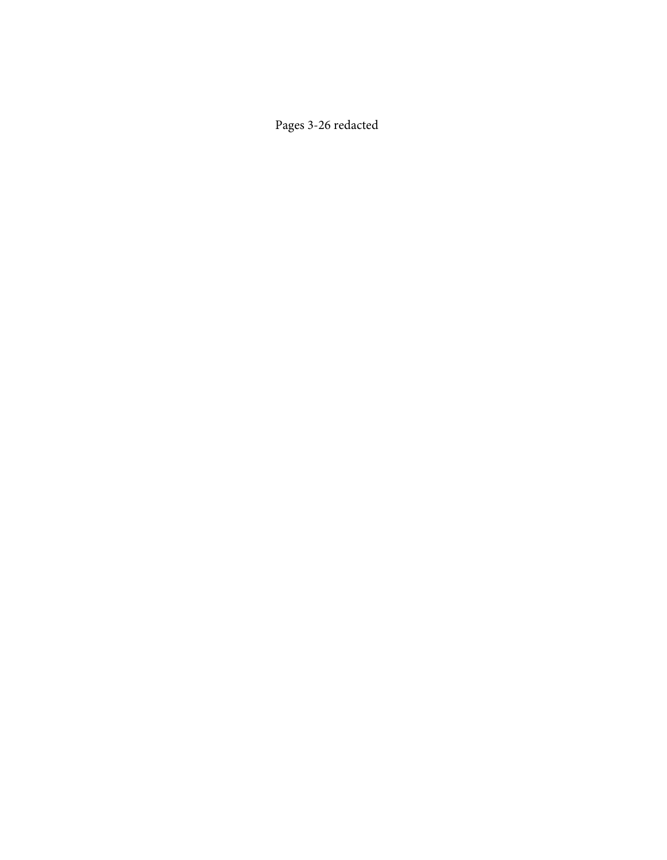Pages 3-26 redacted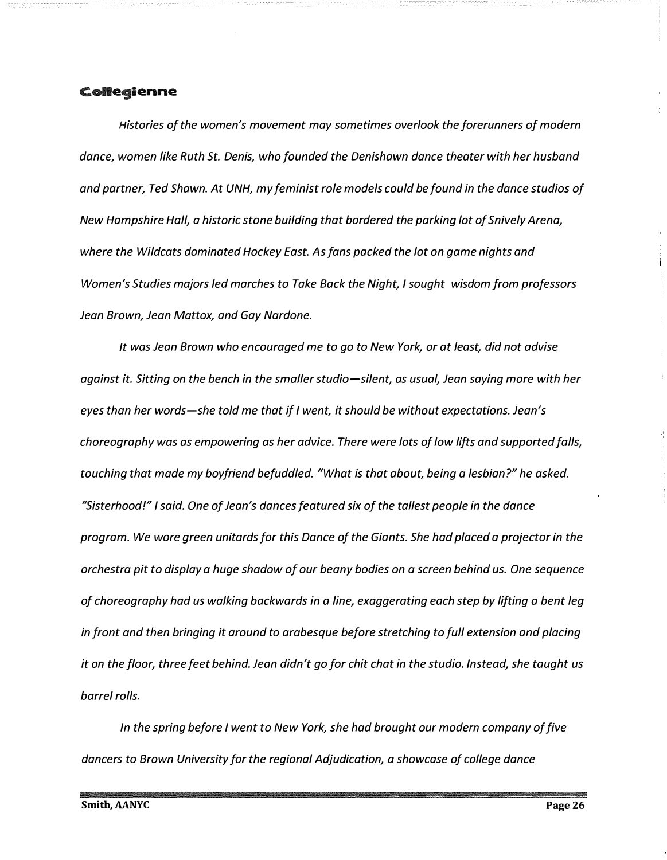#### Collegienne

*Histories of the women's movement may sometimes overlook the forerunners of modern dance, women like Ruth St. Denis, who founded the Denishawn dance theater with her husband and partner, Ted Shawn. At UNH, my feminist role models could be found in the dance studios of New Hampshire Hall, a historic stone building that bordered the parking lot of Snively Arena, where the Wildcats dominated Hockey East. As fans packed the lot on game nights and Women's Studies majors led marches to Take Back the Night, I sought wisdom from professors Jean Brown, Jean Mattox, and Gay Nardone.* 

*It was Jean Brown who encouraged me to go to New York, or at least, did not advise against it. Sitting on the bench in the smaller studio-silent, as usual, Jean saying more with her eyes than her words-she told me that if I went, it should be without expectations. Jean's choreography was as empowering as her advice. There were lots of low lifts and supported falls, touching that made my boyfriend befuddled. "What is that about, being a lesbian?" he asked. "Sisterhood!" I said. One of Jean's dances featured six of the tallest people in the dance program. We wore green unitards for this Dance of the Giants. She had placed a projector in the orchestra pit to display a huge shadow of our beany bodies on a screen behind us. One sequence of choreography had us walking backwards in a line, exaggerating each step by lifting a bent leg in front and then bringing it around to arabesque before stretching to full extension and placing it on the floor, three feet behind. Jean didn't go for chit chat in the studio. Instead, she taught us barrel rolls.* 

*In the spring before I went to New York, she had brought our modern company of five dancers to Brown University for the regional Adjudication, a showcase of college dance*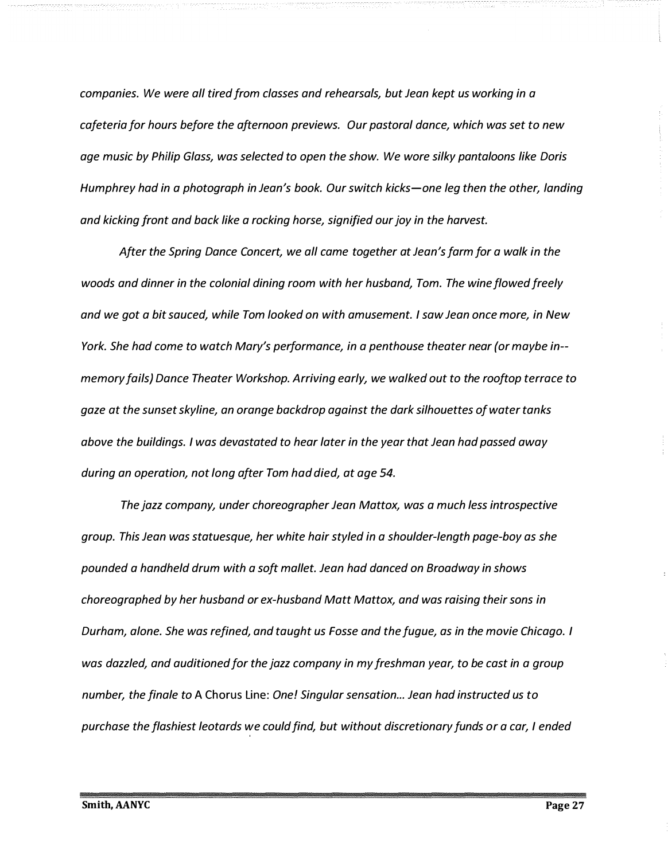*companies. We were all tired from classes and rehearsals, but Jean kept us working in a cafeteria for hours before the afternoon previews. Our pastoral dance, which was set to new age music by Philip Glass, was selected to open the show. We wore silky pantaloons like Doris Humphrey had in a photograph in Jean's book. Our switch kicks-one leg then the other, landing and kicking front and back like a rocking horse, signified our joy in the harvest.* 

*After the Spring Dance Concert, we all came together at Jean's farm for a walk in the woods and dinner in the colonial dining room with her husband, Tom. The wine flowed freely and we got a bit sauced, while Tom looked on with amusement. I saw Jean once more, in New York. She had come to watch Mary's performance, in a penthouse theater near (or maybe in memory fails) Dance Theater Workshop. Arriving early, we walked out to the rooftop terrace to gaze at the sunset skyline, an orange backdrop against the dark silhouettes of water tanks above the buildings. I was devastated to hear later in the year that Jean had passed away during an operation, not long after Tom had died, at age 54.* 

*The jazz company, under choreographer Jean Mattox, was a much less introspective group. This Jean was statuesque, her white hair styled in a shoulder-length page-boy as she pounded a handheld drum with a soft mallet. Jean had danced on Broadway in shows choreographed by her husband or ex-husband Matt Mattox, and was raising their sons in Durham, alone. She was refined, and taught us Fosse and the fugue, as in the movie Chicago. I was dazzled, and auditioned for the jazz company in my freshman year, to be cast in a group number, the finale to* A Chorus Line: *One! Singular sensation ... Jean had instructed us to purchase the flashiest leotards we could find, but without discretionary funds or a car, I ended*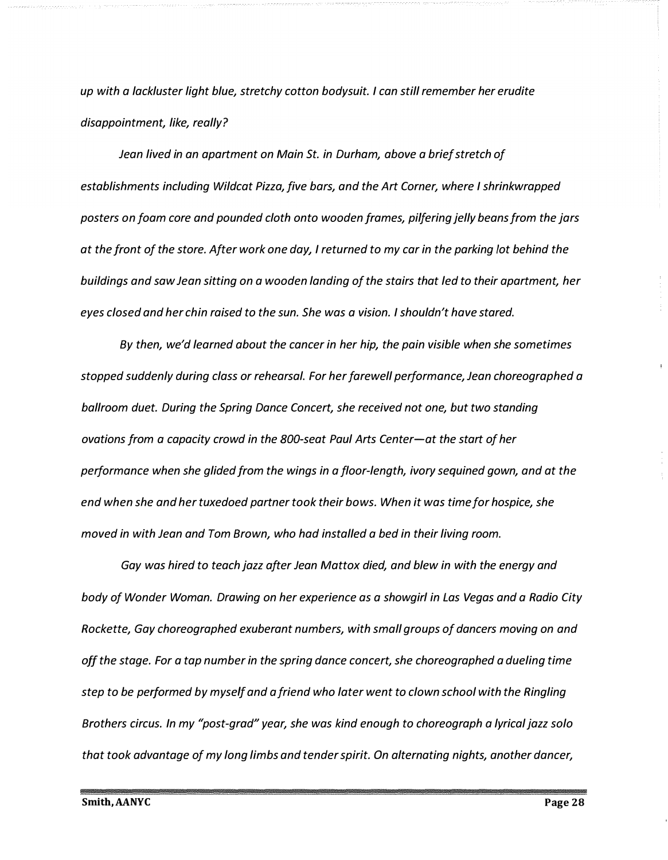*up with a lackluster light blue, stretchy cotton bodysuit. I can still remember her erudite disappointment, like, really?* 

*Jean lived in an apartment on Main St. in Durham, above a brief stretch of establishments including Wildcat Pizza, five bars, and the Art Corner, where I shrinkwrapped posters on foam core and pounded cloth onto wooden frames, pilfering jelly beans from the jars at the front of the store. After work one day, I returned to my car in the parking lot behind the buildings and saw Jean sitting on a wooden landing of the stairs that led to their apartment, her eyes closed and her chin raised to the sun. She was a vision. I shouldn't have stared.* 

*By then, we'd learned about the cancer in her hip, the pain visible when she sometimes stopped suddenly during class or rehearsal. For her farewell performance, Jean choreographed a ballroom duet. During the Spring Dance Concert, she received not one, but two standing ovations from a capacity crowd in the 800-seat Paul Arts Center-at the start of her performance when she glided from the wings in a floor-length, ivory sequined gown, and at the end when she and her tuxedoed partner took their bows. When it was time for hospice, she moved in with Jean and Tom Brown, who had installed a bed in their living room.* 

*Gay was hired to teach jazz after Jean Mattox died, and blew in with the energy and body of Wonder Woman. Drawing on her experience as a showgirl in Las Vegas and a Radio City Rockette, Gay choreographed exuberant numbers, with small groups of dancers moving on and off the stage. For a tap number in the spring dance concert, she choreographed a dueling time step to be performed by myself and a friend who later went to clown school with the Ringling Brothers circus. In my "post-grad" year, she was kind enough to choreograph a lyrical jazz solo that took advantage of my long limbs and tender spirit. On alternating nights, another dancer,*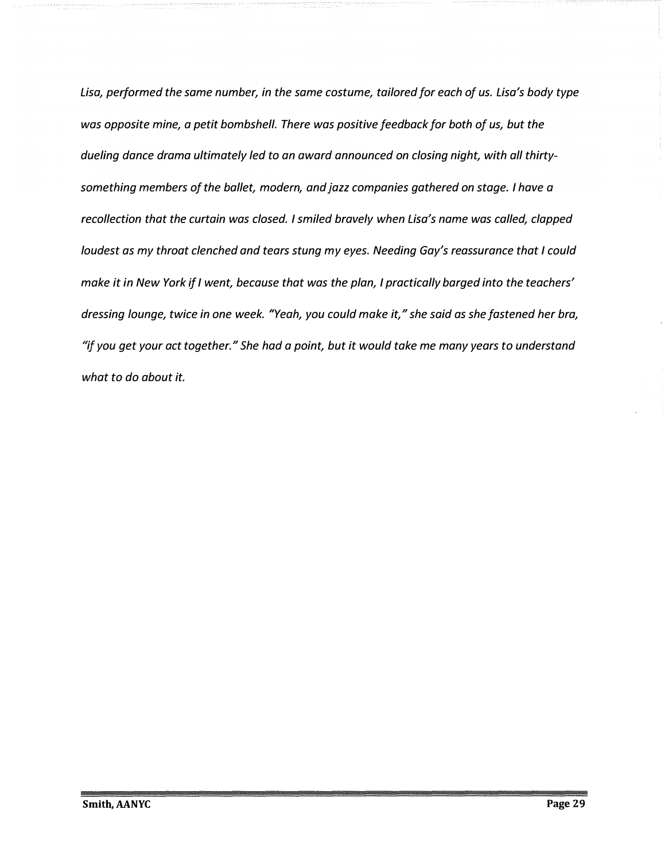*Lisa, performed the same number, in the same costume, tailored for each of us. Lisa's body type was opposite mine, a petit bombshell. There was positive feedback for both of us, but the dueling dance drama ultimately led to an award announced on closing night, with all thirtysomething members of the ballet, modern, and jazz companies gathered on stage. I have a recollection that the curtain was closed. I smiled bravely when Lisa's name was called, clapped loudest as my throat clenched and tears stung my eyes. Needing Gay's reassurance that I could make it in New York if I went, because that was the plan, I practically barged into the teachers' dressing lounge, twice in one week. "Yeah, you could make it, " she said as she fastened her bra, "if you get your act together. <sup>11</sup>She had a point, but it would take me many years to understand what to do about it.*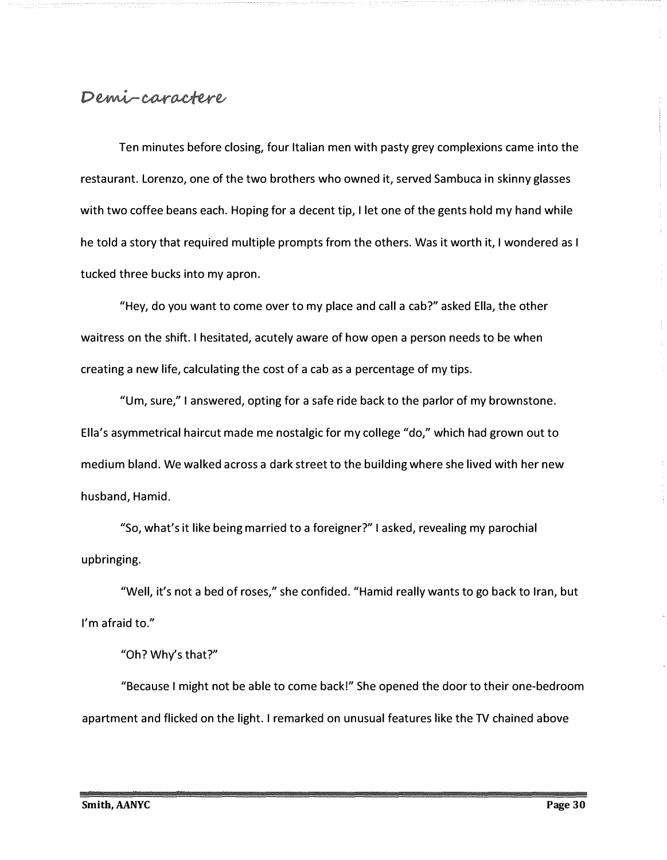# Demi-caractere

Ten minutes before closing, four Italian men with pasty grey complexions came into the restaurant. Lorenzo, one of the two brothers who owned it, served Sambuca in skinny glasses with two coffee beans each. Hoping for a decent tip, I let one of the gents hold my hand while he told a story that required multiple prompts from the others. Was it worth it, I wondered as I tucked three bucks into my apron.

"Hey, do you want to come over to my place and call a cab?" asked Ella, the other waitress on the shift. I hesitated, acutely aware of how open a person needs to be when creating a new life, calculating the cost of a cab as a percentage of my tips.

"Um, sure," I answered, opting for a safe ride back to the parlor of my brownstone. Ella's asymmetrical haircut made me nostalgic for my college "do," which had grown out to medium bland. We walked across a dark street to the building where she lived with her new husband, Hamid.

"So, what's it like being married to a foreigner?" I asked, revealing my parochial upbringing.

"Well, it's not a bed of roses," she confided. "Hamid really wants to go back to Iran, but I'm afraid to."

"Oh? Why's that?"

"Because I might not be able to come back!" She opened the door to their one-bedroom apartment and flicked on the light. I remarked on unusual features like the TV chained above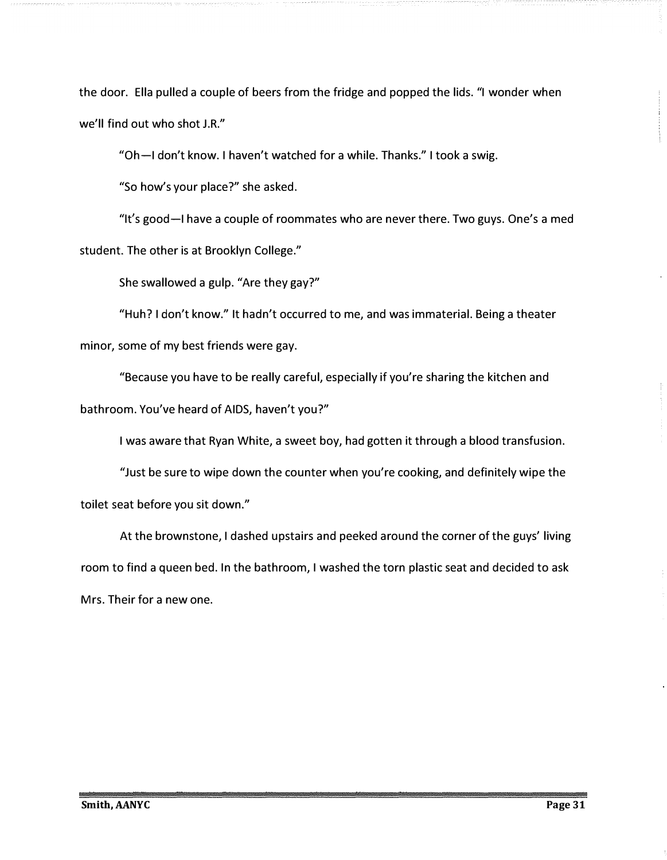the door. Ella pulled a couple of beers from the fridge and popped the lids. "I wonder when we'll find out who shot J.R."

"Oh-I don't know. I haven't watched for a while. Thanks." I took a swig.

"So how's your place?" she asked.

"It's good-I have a couple of roommates who are never there. Two guys. One's a med student. The other is at Brooklyn College."

She swallowed a gulp. "Are they gay?"

"Huh? I don't know." It hadn't occurred to me, and was immaterial. Being a theater minor, some of my best friends were gay.

"Because you have to be really careful, especially if you're sharing the kitchen and bathroom. You've heard of AIDS, haven't you?"

I was aware that Ryan White, a sweet boy, had gotten it through a blood transfusion.

"Just be sure to wipe down the counter when you're cooking, and definitely wipe the toilet seat before you sit down."

At the brownstone, I dashed upstairs and peeked around the corner of the guys' living room to find a queen bed. In the bathroom, I washed the torn plastic seat and decided to ask Mrs. Their for a new one.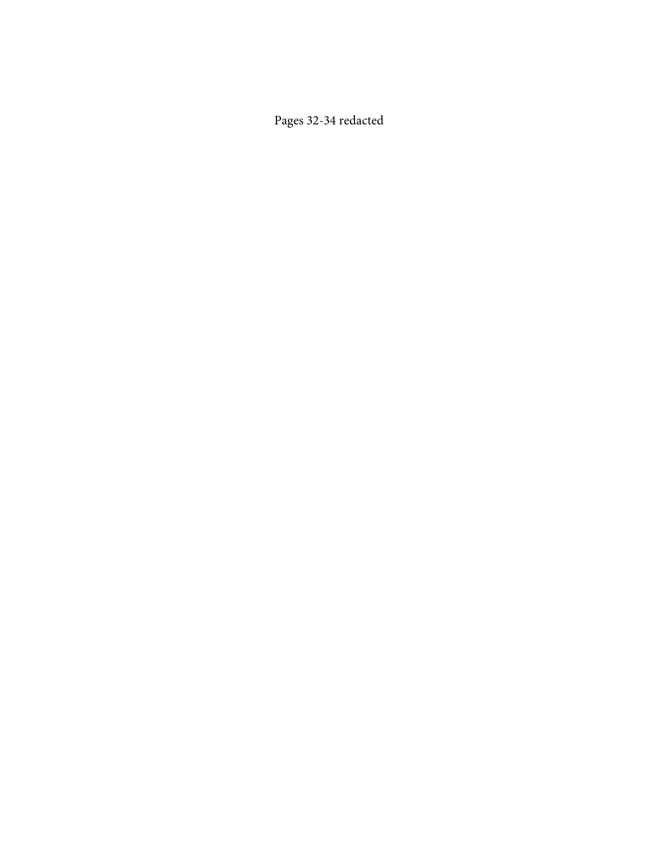Pages 32-34 redacted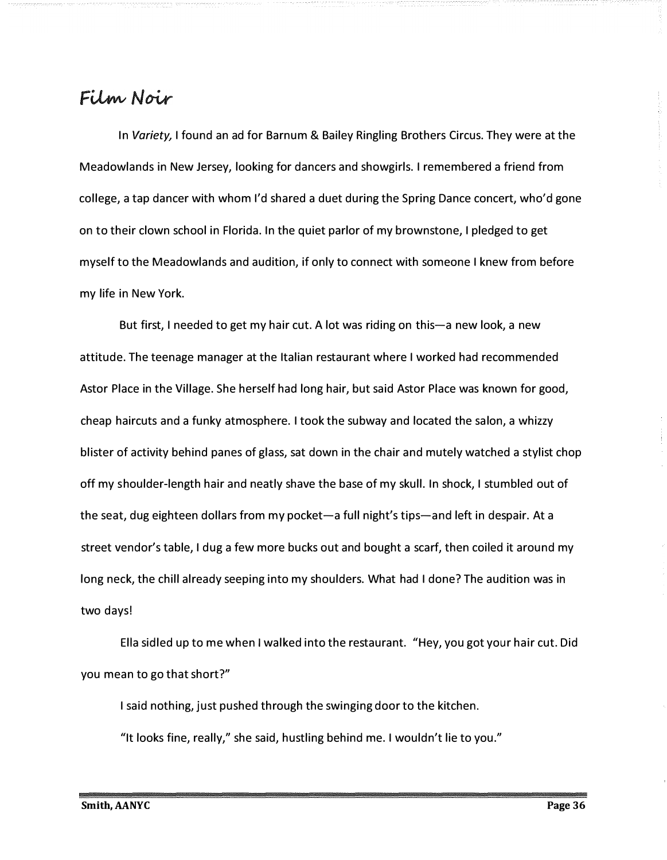### Film Noir

In *Variety,* I found an ad for Barnum & Bailey Ringling Brothers Circus. They were at the Meadowlands in New Jersey, looking for dancers and showgirls. I remembered a friend from college, a tap dancer with whom I'd shared a duet during the Spring Dance concert, who'd gone on to their clown school in Florida. In the quiet parlor of my brownstone, I pledged to get myself to the Meadowlands and audition, if only to connect with someone I knew from before my life in New York.

But first, I needed to get my hair cut. A lot was riding on this—a new look, a new attitude. The teenage manager at the Italian restaurant where I worked had recommended Astor Place in the Village. She herself had long hair, but said Astor Place was known for good, cheap haircuts and a funky atmosphere. I took the subway and located the salon, a whizzy blister of activity behind panes of glass, sat down in the chair and mutely watched a stylist chop off my shoulder-length hair and neatly shave the base of my skull. In shock, I stumbled out of the seat, dug eighteen dollars from my pocket-a full night's tips-and left in despair. At a street vendor's table, I dug a few more bucks out and bought a scarf, then coiled it around my long neck, the chill already seeping into my shoulders. What had I done? The audition was in two days!

Ella sidled up to me when I walked into the restaurant. "Hey, you got your hair cut. Did you mean to go that short?"

I said nothing, just pushed through the swinging door to the kitchen.

"It looks fine, really," she said, hustling behind me. I wouldn't lie to you."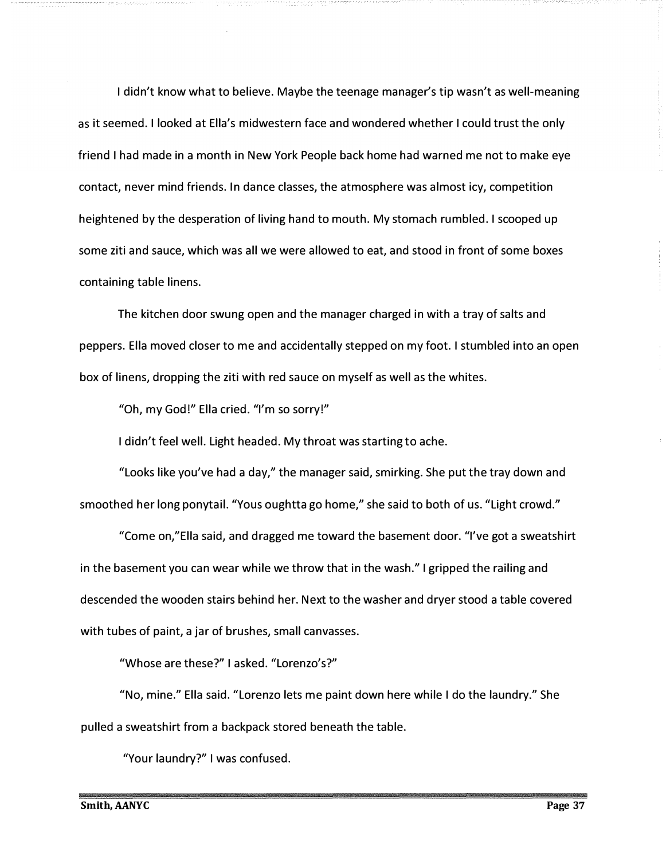I didn't know what to believe. Maybe the teenage manager's tip wasn't as well-meaning as it seemed. I looked at Ella's midwestern face and wondered whether I could trust the only friend I had made in a month in New York People back home had warned me not to make eye contact, never mind friends. In dance classes, the atmosphere was almost icy, competition heightened by the desperation of living hand to mouth. My stomach rumbled. I scooped up some ziti and sauce, which was all we were allowed to eat, and stood in front of some boxes containing table linens.

The kitchen door swung open and the manager charged in with a tray of salts and peppers. Ella moved closer to me and accidentally stepped on my foot. I stumbled into an open box of linens, dropping the ziti with red sauce on myself as well as the whites.

"Oh, my God!" Ella cried. "I'm so sorry!"

I didn't feel well. light headed. My throat was starting to ache.

"looks like you've had a day," the manager said, smirking. She put the tray down and smoothed her long ponytail. "Yous oughtta go home," she said to both of us. "Light crowd."

"*C*ome on,"Ella said, and dragged me toward the basement door. "I've got a sweatshirt in the basement you can wear while we throw that in the wash." I gripped the railing and descended the wooden stairs behind her. Next to the washer and dryer stood a table covered with tubes of paint, a jar of brushes, small canvasses.

"Whose are these?" I asked. "Lorenzo's?"

"No, mine." Ella said. "Lorenzo lets me paint down here while I do the laundry." She pulled a sweatshirt from a backpack stored beneath the table.

"Your laundry?" I was confused.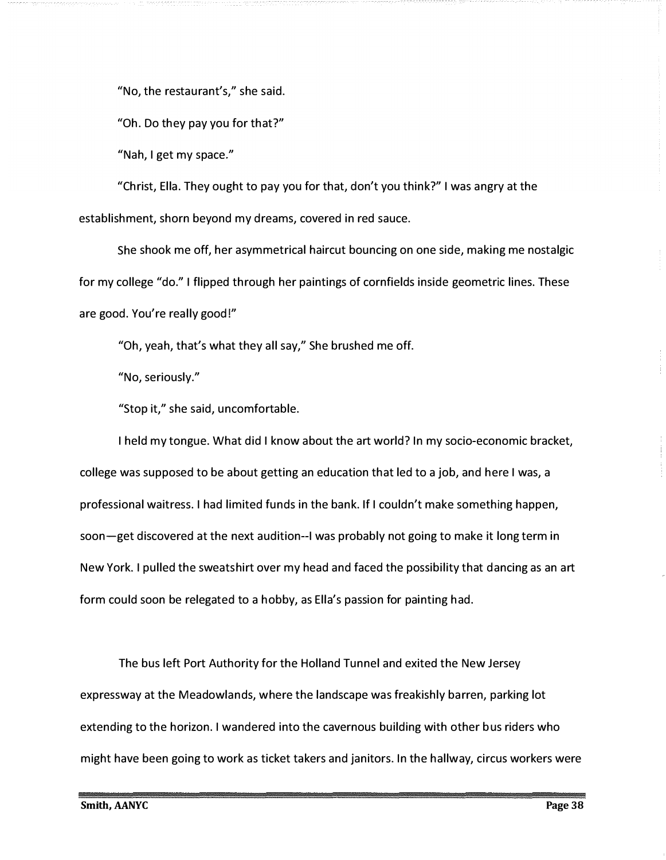"No, t*h*e re*s*t*a*ur*a*nt'*s*," *sh*e *sa*id*.* 

"O*h*. Do t*h*ey p*a*y you for t*ha*t?"

"N*ah*, I get my *s*p*a*ce."

"C*h*ri*s*t, *E*ll*a*. T*h*ey oug*h*t to p*a*y you for t*ha*t, don't you t*h*ink?" I *was a*ngry *a*t t*h*e e*s*t*a*bli*sh*ment, *sh*orn beyond my dre*a*m*s*, co*v*ered in red *sa*uce*.* 

S*h*e *sh*ook me off, *h*er *as*ymmetric*a*l *ha*ircut bouncing on one *s*ide, m*a*king me no*s*t*a*lgic for my college "do." I flipped t*h*roug*h h*er p*a*inting*s* of cornfield*s* in*s*ide geometric line*s*. T*h*e*s*e *a*re good. *Y*ou're re*a*lly good!"

"O*h*, ye*ah*, t*ha*t'*s wha*t t*h*ey *a*ll *sa*y,'1 S*h*e bru*sh*ed me off*.* 

"No, *s*eriou*s*ly."

"Stop it," *sh*e *sa*id, uncomfort*a*ble.

I *h*eld my tongue. W*ha*t did I kno*w a*bout t*h*e *a*rt *w*orld? In my *s*ocio-economic br*a*cket, college *was s*uppo*s*ed to be *a*bout getting *a*n educ*a*tion t*ha*t led to *a* job, *a*nd *h*ere I *was*, *a*  profe*ss*ion*a*l *wa*itre*ss*. I *ha*d limited fund*s* in t*h*e b*a*nk. If I couldn't m*a*ke *s*omet*h*ing *ha*ppen, *s*oon-get di*s*co*v*ered *a*t t*h*e next *a*udition--1 *was* prob*a*bly not going to m*a*ke it long term in Ne*w Y*ork. I pulled t*h*e *sw*e*a*t*sh*irt o*v*er my *h*e*a*d *a*nd f*a*ced t*h*e po*ss*ibility t*ha*t d*a*ncing *as a*n *a*rt form could *s*oon be releg*a*ted to *a h*obby, *as E*ll*a*'*s* p*ass*ion for p*a*inting *ha*d.

T*h*e bu*s* left Port Aut*h*ority for t*h*e Holl*a*nd Tunnel *a*nd exited t*h*e Ne*w* Jer*s*ey expre*sswa*y *a*t t*h*e Me*a*do*w*l*a*nd*s*, *wh*ere t*h*e l*a*nd*s*c*a*pe *was* fre*a*ki*sh*ly b*a*rren, p*a*rking lot extending to t*h*e *h*orizon. I *wa*ndered into t*h*e c*av*ernou*s* building *w*it*h* ot*h*er bu*s* rider*s wh*o mig*h*t *hav*e been going to *w*ork *as* ticket t*a*ker*s a*nd j*a*nitor*s.* In t*h*e *ha*ll*wa*y, circu*s w*orker*s w*ere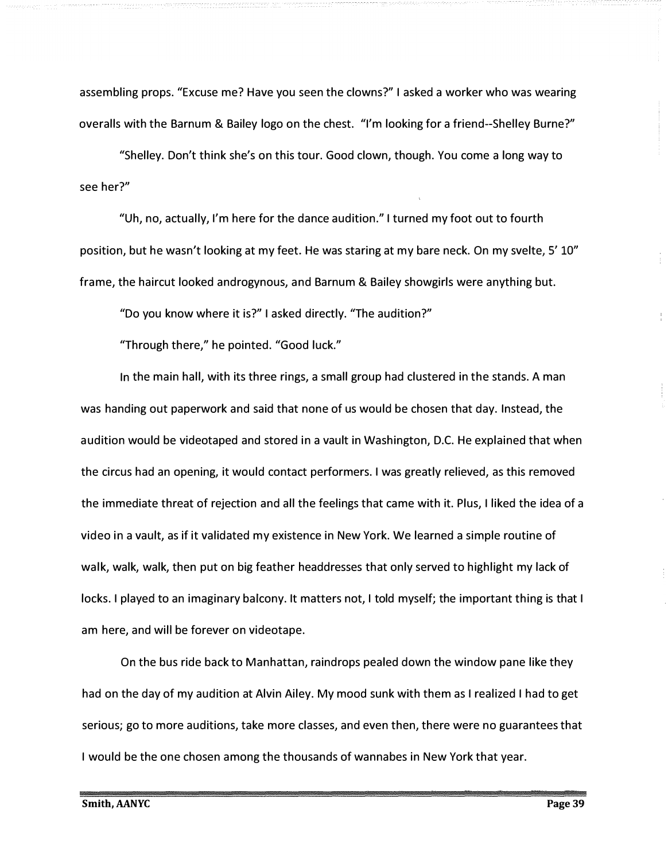assembling props. "Excuse me? Have you seen the clowns?" I asked a worker who was wearing overalls with the Barnum & Bailey logo on the chest. "I'm looking for a friend--Shelley Burne?"

"Shelley. Don't think she's on this tour. Good clown, though. You come a long way to see her?"

"Uh, no, actually, I'm here for the dance audition." I turned my foot out to fourth position, but he wasn't looking at my feet. He was staring at my bare neck. On my svelte, 5' 10" frame, the haircut looked androgynous, and Barnum & Bailey showgirls were anything but.

"Do you know where it is?" I asked directly. "The audition?"

"Through there," he pointed. "Good luck."

In the main hall, with its three rings, a small group had clustered in the stands. A man was handing out paperwork and said that none of us would be chosen that day. Instead, the audition would be videotaped and stored in a vault in Washington, D.C. He explained that when the circus had an opening, it would contact performers. I was greatly relieved, as this removed the immediate threat of rejection and all the feelings that came with it. Plus, I liked the idea of a video in a vault, as if it validated my existence in New York. We learned a simple routine of walk, walk, walk, then put on big feather headdresses that only served to highlight my lack of locks. I played to an imaginary balcony. It matters not, I told myself; the important thing is that I am here, and will be forever on videotape.

On the bus ride back to Manhattan, raindrops pealed down the window pane like they had on the day of my audition at Alvin Ailey. My mood sunk with them as I realized I had to get serious; go to more auditions, take more classes, and even then, there were no guarantees that I would be the one chosen among the thousands of wannabes in New York that year.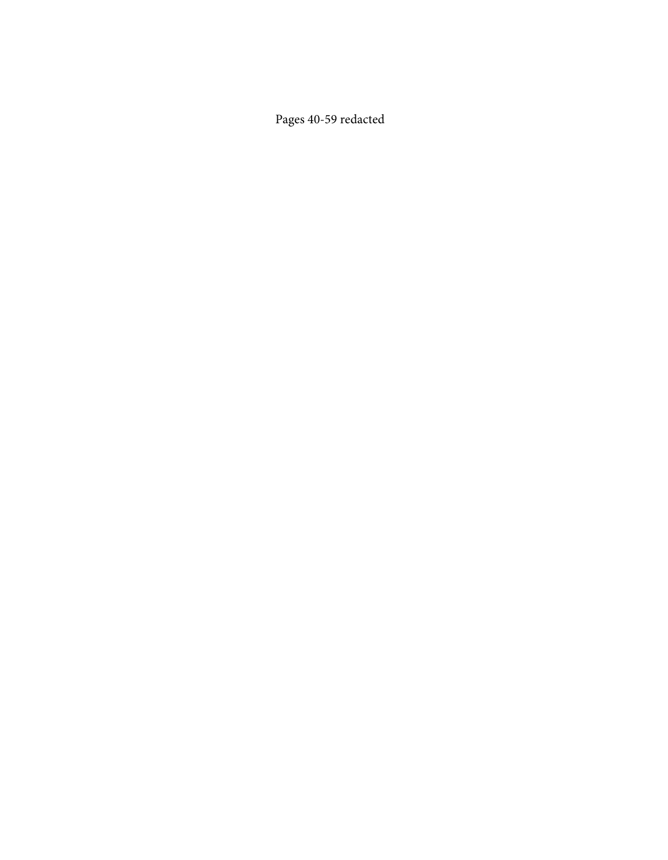Pages 40-59 redacted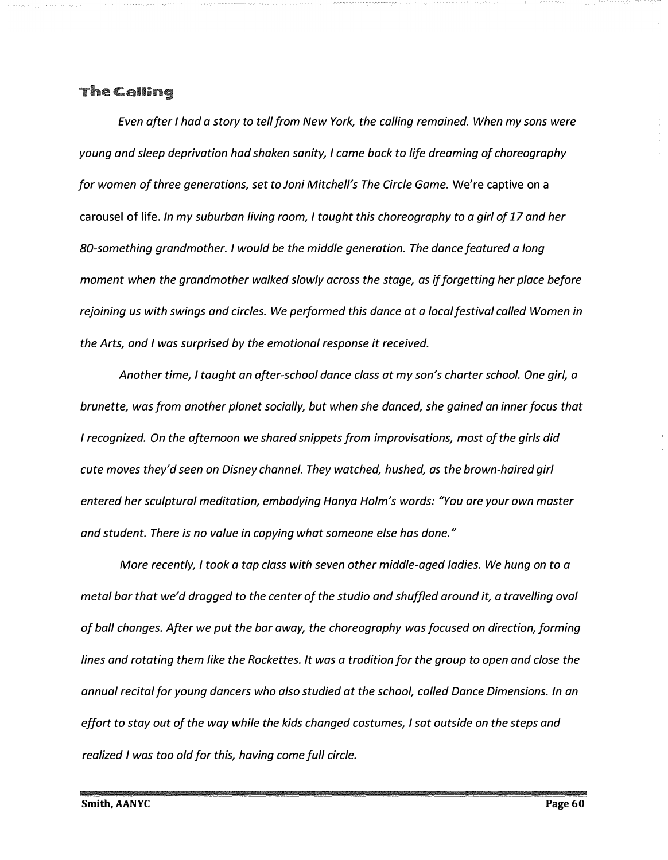#### The Calling

*Even after I had a story to tell from New York, the calling remained. When my sons were young and sleep deprivation had shaken sanity, I came back to life dreaming of choreography for women of three generations, set to Joni Mitchell's The Circle Game.* We're captive on a carousel of life. *In my suburban living room, I taught this choreography to a girl of 17 and her BO-something grandmother. I would be the middle generation. The dance featured a long moment when the grandmother walked slowly across the stage, as if forgetting her place before rejoining us with swings and circles. We performed this dance at a local festival called Women in the Arts, and I was surprised by the emotional response it received.* 

*Another time, I taught an after-school dance class at my son's charter school. One girl, a brunette, was from another planet socially, but when she danced, she gained an inner focus that I recognized. On the afternoon we shared snippets from improvisations, most of the girls did cute moves they'd seen on Disney channel. They watched, hushed, as the brown-haired girl entered her sculptural meditation, embodying Hanya Holm's words: "You are your own master and student. There is no value in copying what someone else has done. "* 

*More recently, I took a tap class with seven other middle-aged ladies. We hung on to a metal bar that we'd dragged to the center of the studio and shuffled around it, a travelling oval of ball changes. After we put the bar away, the choreography was focused on direction, forming lines and rotating them like the Rockettes. It was a tradition for the group to open and close the annual recital for young dancers who also studied at the school, called Dance Dimensions. In an effort to stay out of the way while the kids changed costumes, I sat outside on the steps and realized I was too old for this, having come full circle.*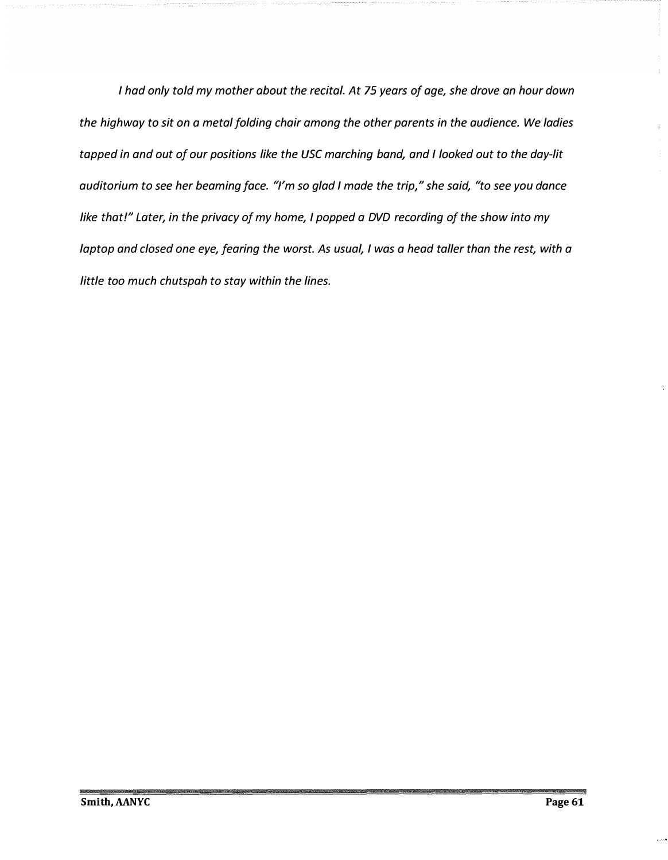*I had only told my mother about the recital. At 75 years of age, she drove an hour down the highway to sit on a metal folding chair among the other parents in the audience. We ladies tapped in and out of our positions like the USC marching band, and I looked out to the day-lit auditorium to see her beaming face. "I'm so glad I made the trip," she said, "to see you dance like that!" Later, in the privacy of my home, I popped a DVD recording of the show into my laptop and closed one eye, fearing the worst. As usual, I was a head taller than the rest, with a little too much chutspah to stay within the lines.*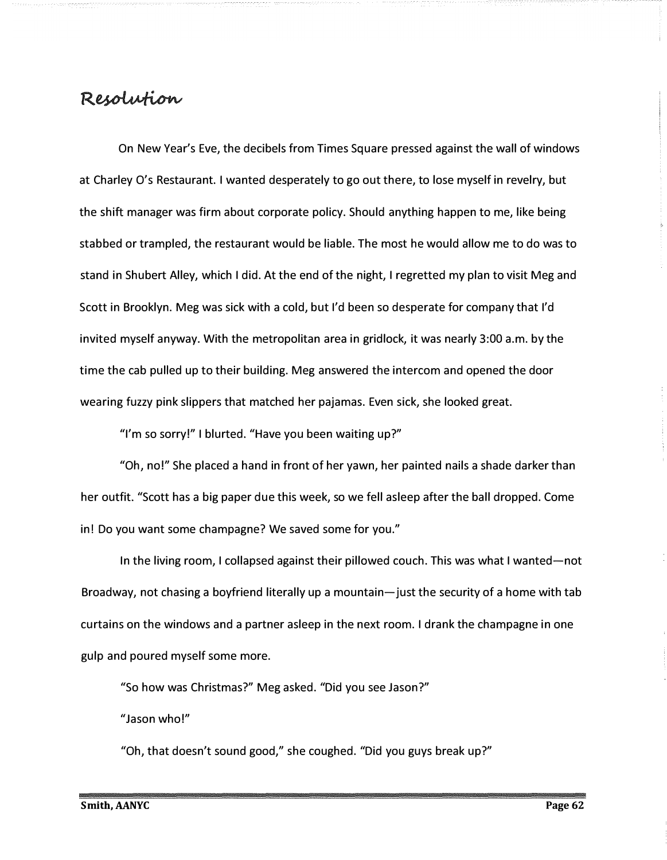### Resolution

*O*n New Year's Eve, the decibels from Times Square pressed against the wall of windows at Charley *O*'s Restaurant. I wanted desperately to go out there, to lose myself in revelry, but the shift manager was firm about corporate policy. Should anything happen to me, like being stabbed or trampled, the restaurant would be liable. The most he would allow me to do was to stand in Shubert Alley, which I did. At the end of the night, I regretted my plan to visit Meg and Scott in Brooklyn. Meg was sick with a cold, but I'd been so desperate for company that I'd invited myself anyway. With the metropolitan area in gridlock, it was nearly 3:*00* a.m. by the time the cab pulled up to their building. Meg answered the intercom and opened the door wearing fuzzy pink slippers that matched her pajamas. Even sick, she looked great.

"I'm so sorry!" I blurted. "Have you been waiting up?"

"*O*h, no!" She placed a hand in front of her yawn, her painted nails a shade darker than her outfit. "Scott has a big paper due this week, so we fell asleep after the ball dropped. Come in! Do you want some champagne? We saved some for you."

In the living room, I collapsed against their pillowed couch. This was what I wanted-not Broadway, not chasing a boyfriend literally up a mountain—just the security of a home with tab curtains on the windows and a partner asleep in the next room. I drank the champagne in one gulp and poured myself some more.

"So how was Christmas?" Meg asked. "Did you see Jason?"

"Jason who!"

"*O*h, that doesn't sound good," she coughed. "Did you guys break up?"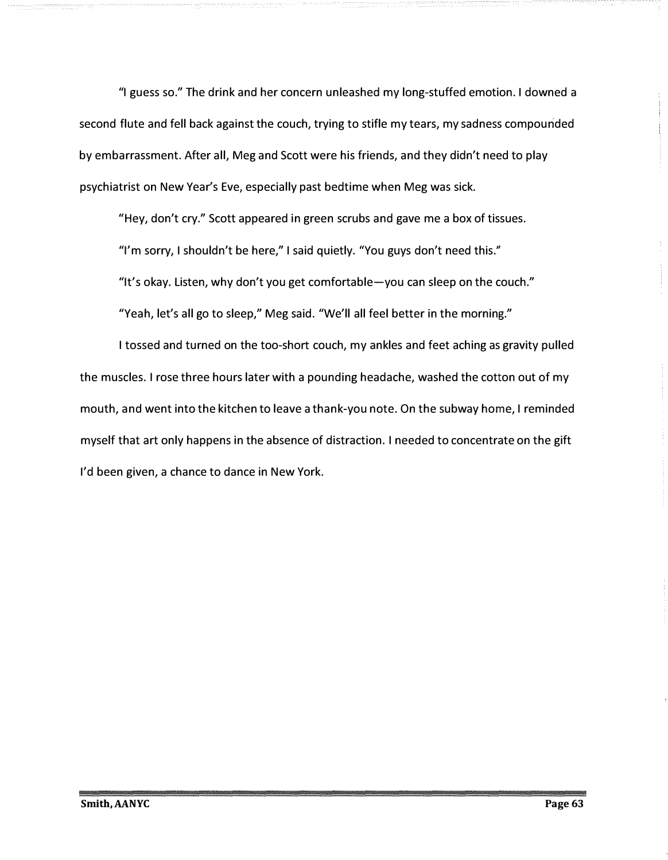"I guess so." The drink and her concern unleashed my long-stuffed emotion. I downed a second flute and fell back against the couch, trying to stifle my tears, my sadness compounded by embarrassment. After all, Meg and Scott were his friends, and they didn't need to play psychiatrist on New Year's Eve, especially past bedtime when Meg was sick.

"Hey, don't cry." Scott appeared in green scrubs and gave me a box of tissues.

"I'm sorry, I shouldn't be here," I said quietly. "You guys don't need this."

"It's okay. Listen, why don't you get comfortable-you can sleep on the couch."

"Yeah, let's all go to sleep," Meg said. "We'll all feel better in the morning."

I tossed and turned on the too-short couch, my ankles and feet aching as gravity pulled the muscles. I rose three hours later with a pounding headache, washed the cotton out of my mouth, and went into the kitchen to leave a thank-you note. On the subway home, I reminded myself that art only happens in the absence of distraction. I needed to concentrate on the gift I'd been given, a chance to dance in New York.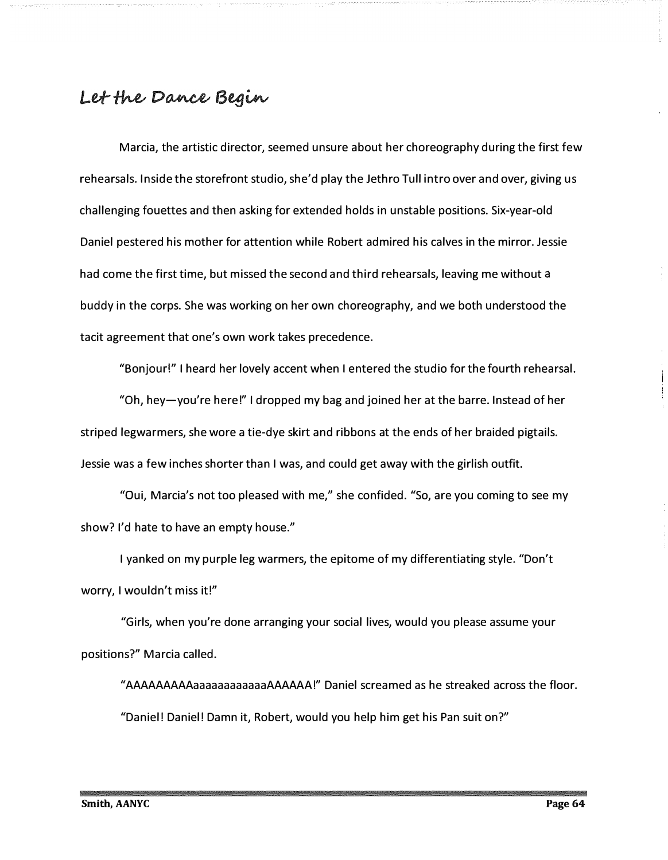# Let the Dance Begin

Marcia, the artistic director, seemed unsure about her choreography during the first few rehearsals. Inside the storefront studio, she'd play the Jethro Tull intro over and over, giving us challenging fouettes and then asking for extended holds in unstable positions. Six-year-old Daniel pestered his mother for attention while Robert admired his calves in the mirror. Jessie had come the first time, but missed the second and third rehearsals, leaving me without a buddy in the corps. She was working on her own choreography, and we both understood the tacit agreement that one's own work takes precedence.

"Bonjour!" I heard her lovely accent when I entered the studio for the fourth rehearsal.

"Oh, hey-you're here!" I dropped my bag and joined her at the barre. Instead of her striped legwarmers, she wore a tie-dye skirt and ribbons at the ends of her braided pigtails. Jessie was a few inches shorter than I was, and could get away with the girlish outfit.

"Qui, Marcia's not too pleased with me," she confided. "So, are you coming to see my show? I'd hate to have an empty house."

I yanked on my purple leg warmers, the epitome of my differentiating style. "Don't worry, I wouldn't miss it!"

"Girls, when you're done arranging your social lives, would you please assume your positions?" Marcia called.

"AAAAAAAAAaaaaaaaaaaaaAAAAAA!" Daniel screamed as he streaked across the floor. "Daniel! Daniel! Damn it, Robert, would you help him get his Pan suit on?"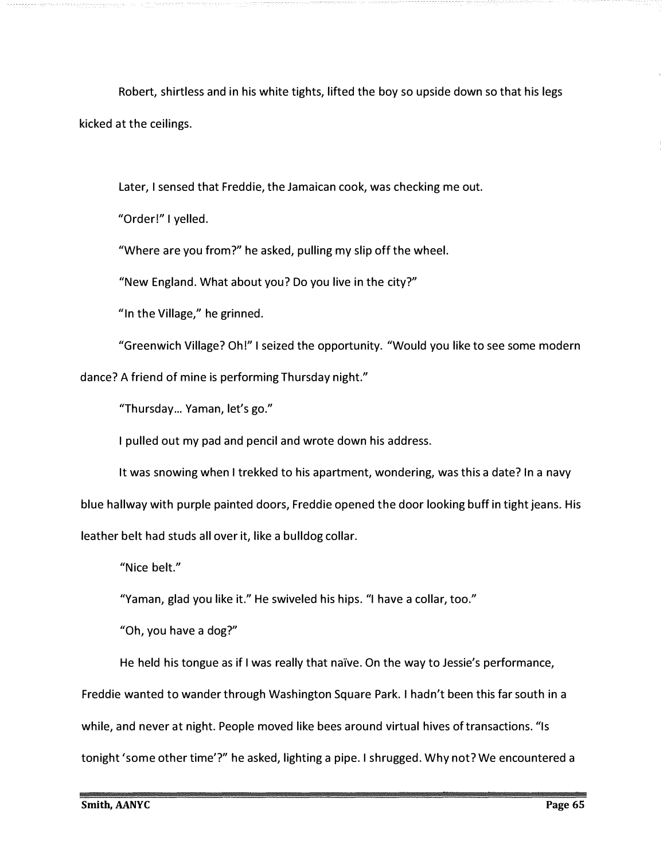Robert, shirtless and in his white tights, lifted the boy so upside down so that his legs kicked at the ceilings.

Later, I sensed that Freddie, the Jamaican cook, was checking me out.

"Order!" I yelled.

"Where are you from?" he asked, pulling my slip off the wheel.

"New England. What about you? Do you live in the city?"

"In the Village," he grinned.

"Greenwich Village? Oh!" I seized the opportunity. "Would you like to see some modern dance? A friend of mine is performing Thursday night."

"Thursday... Yaman, let's go."

I pulled out my pad and pencil and wrote down his address.

It was snowing when I trekked to his apartment, wondering, was this a date? In a navy blue hallway with purple painted doors, Freddie opened the door looking buff in tight jeans. His leather belt had studs all over it, like a bulldog collar.

"Nice belt."

"Yaman, glad you like it." He swiveled his hips. "I have a collar, too."

"Oh, you have a dog?"

He held his tongue as if I was really that naïve. On the way to Jessie's performance,

Freddie wanted to wander through Washington Square Park. I hadn't been this far south in a

while, and never at night. People moved like bees around virtual hives of transactions. "Is

tonight 'some other time'?" he asked, lighting a pipe. I shrugged. Why not? We encountered a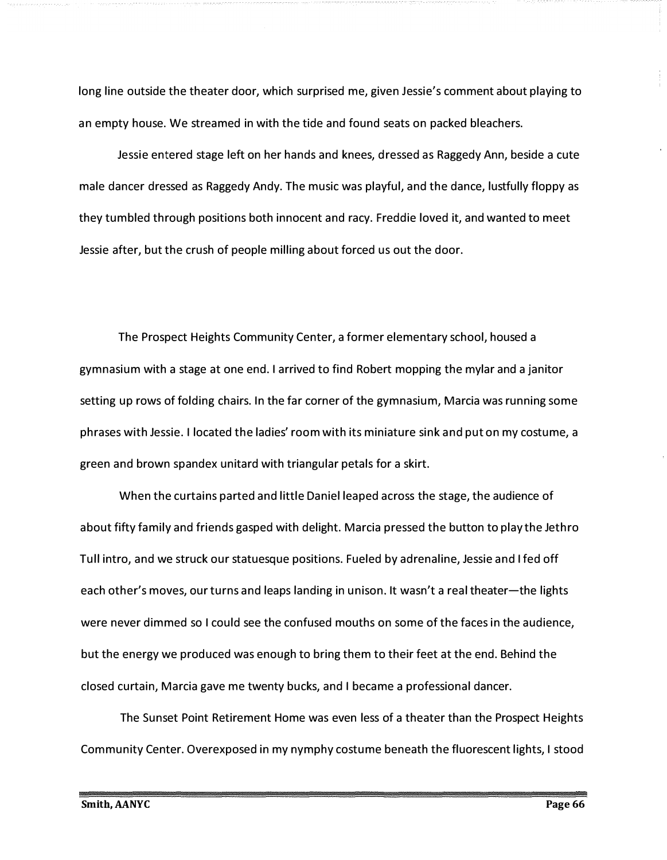long line outside the theater door, which surprised me, given Jessie's comment about playing to an empty house. We streamed in with the tide and found seats on packed bleachers.

Jessie entered stage left on her hands and knees, dressed as Raggedy Ann, beside a cute male dancer dressed as Raggedy Andy. The music was playful, and the dance, lustfully floppy as they tumbled through positions both innocent and racy. Freddie loved it, and wanted to meet Jessie after, but the crush of people milling about forced us out the door.

The Prospect Heights Community Center, a former elementary school, housed a gymnasium with a stage at one end. I arrived to find Robert mopping the mylar and a janitor setting up rows of folding chairs. In the far corner of the gymnasium, Marcia was running some phrases with Jessie. I located the ladies' room with its miniature sink and put on my costume, a green and brown spandex unitard with triangular petals for a skirt.

When the curtains parted and little Daniel leaped across the stage, the audience of about fifty family and friends gasped with delight. Marcia pressed the button to play the Jethro Tull intro, and we struck our statuesque positions. Fueled by adrenaline, Jessie and I fed off each other's moves, our turns and leaps landing in unison. It wasn't a real theater—the lights were never dimmed so I could see the confused mouths on some of the faces in the audience, but the energy we produced was enough to bring them to their feet at the end. Behind the closed curtain, Marcia gave me twenty bucks, and I became a professional dancer.

The Sunset Point Retirement Home was even less of a theater than the Prospect Heights Community Center. Overexposed in my nymphy costume beneath the fluorescent lights, I stood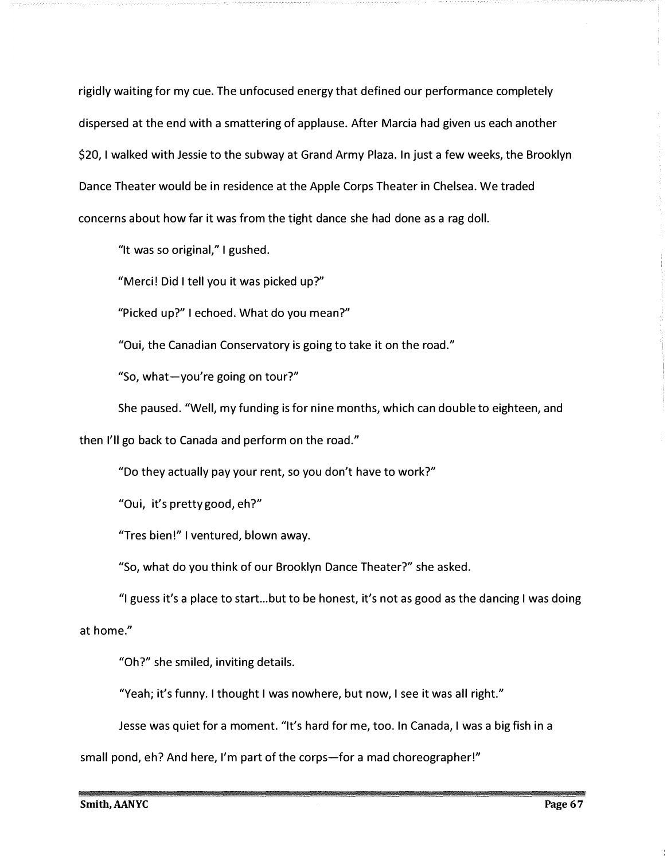rigidly waiting for *m*y cue. The unfocused energy that defined our perfor*m*ance co*m*pletely dispersed at the end with a s*m*attering of applause. After Marcia had given us each another \$20, I walked with Jessie to the subway at Grand Ar*m*y Plaza. In just a few weeks, the Brooklyn *D*ance Theater would be in residence at the Apple Corps Theater in Chelsea. We traded concerns about how far it was fro*m* the tight dance she had done as a rag doll.

"It was so original,*"* I gushed.

"Merci! *D*id I tell you it was picked up*?*"

"Picked up*?"* I echoed. What do you *m*ean*?"* 

"Qui, the Canadian Conservatory is going to take it on the road.*"* 

"So, what-you*'*re going on tour*?"* 

She paused. "Well, *m*y funding is for nine *m*onths, which can double to eighteen, and

then I*'*ll go back to Canada and perfor*m* on the road.*"* 

"*D*o they actually pay your rent, so you don*'*t have to work*?"* 

"Qui, it*'*s pretty good, eh*?"* 

"Tres bien !*"* I ventured, blown away.

"So, what do you think of our Brooklyn *D*ance Theater*?"* she asked.

"I guess it's a place to start ... but to be honest, it*'*s not as good as the dancing I was doing

at ho*m*e.*"* 

"Oh*?"* she s*m*iled, inviting details.

"Yeah; it*'*s funny. I thought I was nowhere, but now, I see it was all right.*"* 

Jesse was quiet for a *m*o*m*ent. "It*'*s hard for *m*e, too. In Canada, I was a big fish in a

s*m*all pond, eh*?* And here, I*'m* part of the corps-for a *m*ad choreographer!*"*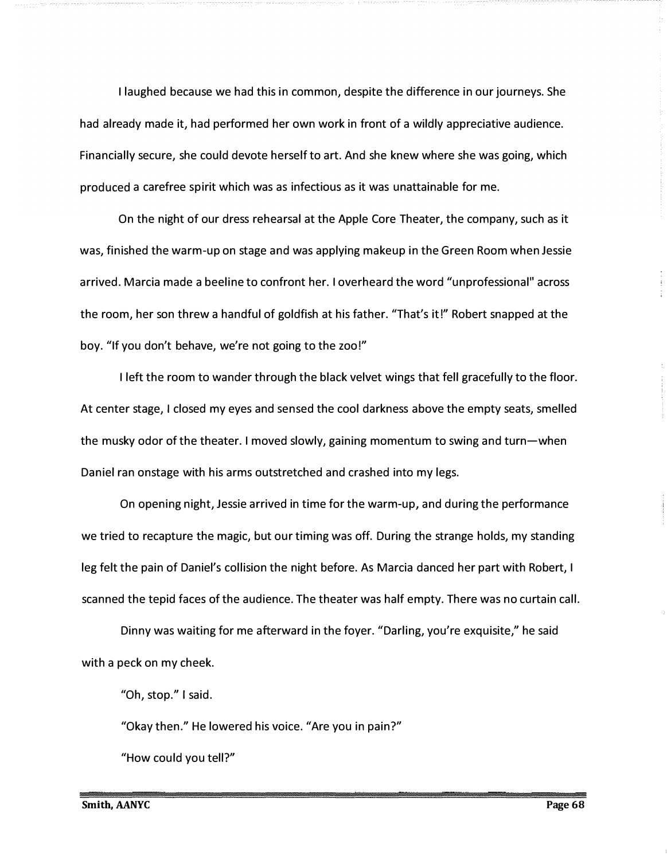I laughed because we had this in common, despite the dif*f*erence in our journeys. She had already made it, had performed her own work in front of a wildly appreciative audience. Financially secure, she could devote herself to art. And she knew where she was going, which produced a carefree spirit which was as infectious as it was unattainable for me.

On the night of our dress rehearsal at the Apple Core Theater, the company, such as it was, finished the warm-up on stage and was applying makeup in the Green Room when Jessie arrived. Marcia made a beeline to confront her. I overheard the word "unprofessional" across the room, her son threw a handful of goldfish at his father. "That's it!" Robert snapped at the boy. "If you don't behave, we're not going to the zoo!"

I left the room to wander through the black velvet wings that fell gracefully to the floor. At center stage, I closed my eyes and sensed the cool darkness above the empty seats, smelled the musky odor of the theater. I moved slowly, gaining momentum to swing and turn-when Daniel ran onstage with his arms outstretched and crashed into my legs.

On opening night, Jessie arrived in time for the warm-up, and during the performance we tried to recapture the magic, but our timing was off. During the strange holds, my standing leg felt the pain of Daniel's collision the night before. As Marcia danced her part with Robert, I scanned the tepid faces of the audience. The theater was half empty. There was no curtain call.

Dinny was waiting for me afterward in the foyer. "Darling, you're exquisite," he said with a peck on my cheek.

"Oh, stop." I said.

"Okay then." He lowered his voice. "Are you in pain?"

"How could you tell?"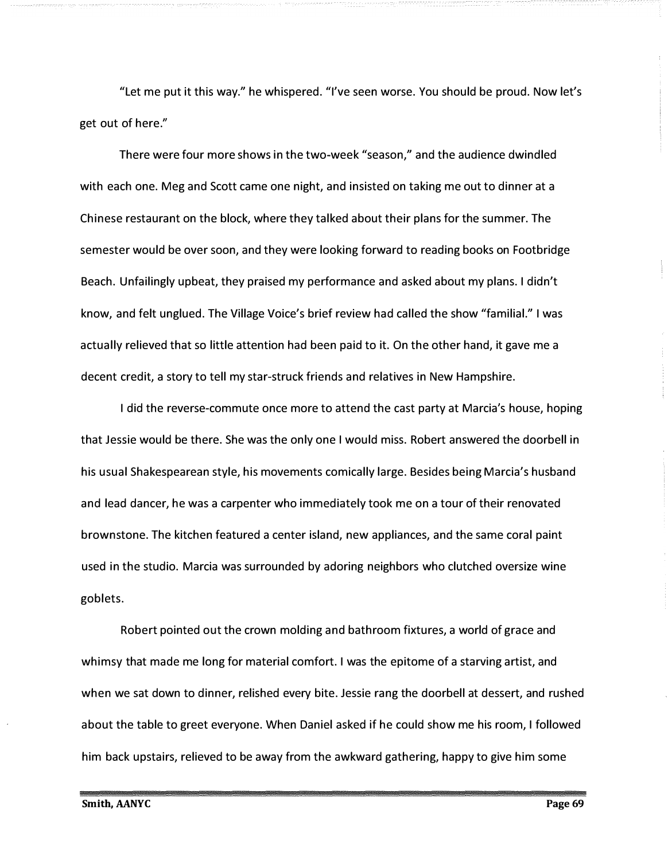"Let me put it this way." he whispered. "I've seen worse. You should be proud. Now let's get out of here."

There were four more shows in the two-week "season," and the audience dwindled with each one. Meg and Scott came one night, and insisted on taking me out to dinner at a Chinese restaurant on the block, where they talked about their plans for the summer. The semester would be over soon, and they were looking forward to reading books on Footbridge Beach. Unfailingly upbeat, they praised my performance and asked about my plans. I didn't know, and felt unglued. The Village Voice's brief review had called the show "familial." I was actually relieved that so little attention had been paid to it. On the other hand, it gave me a decent credit, a story to tell my star-struck friends and relatives in New Hampshire.

I did the reverse-commute once more to attend the cast party at Marcia's house, hoping that Jessie would be there. She was the only one I would miss. Robert answered the doorbell in his usual Shakespearean style, his movements comically large. Besides being Marcia's husband and lead dancer, he was a carpenter who immediately took me on a tour of their renovated brownstone. The kitchen featured a center island, new appliances, and the same coral paint used in the studio. Marcia was surrounded by adoring neighbors who clutched oversize wine goblets.

Robert pointed out the crown molding and bathroom fixtures, a world of grace and whimsy that made me long for material comfort. I was the epitome of a starving artist, and when we sat down to dinner, relished every bite. Jessie rang the doorbell at dessert, and rushed about the table to greet everyone. When Daniel asked if he could show me his room, I followed him back upstairs, relieved to be away from the awkward gathering, happy to give him some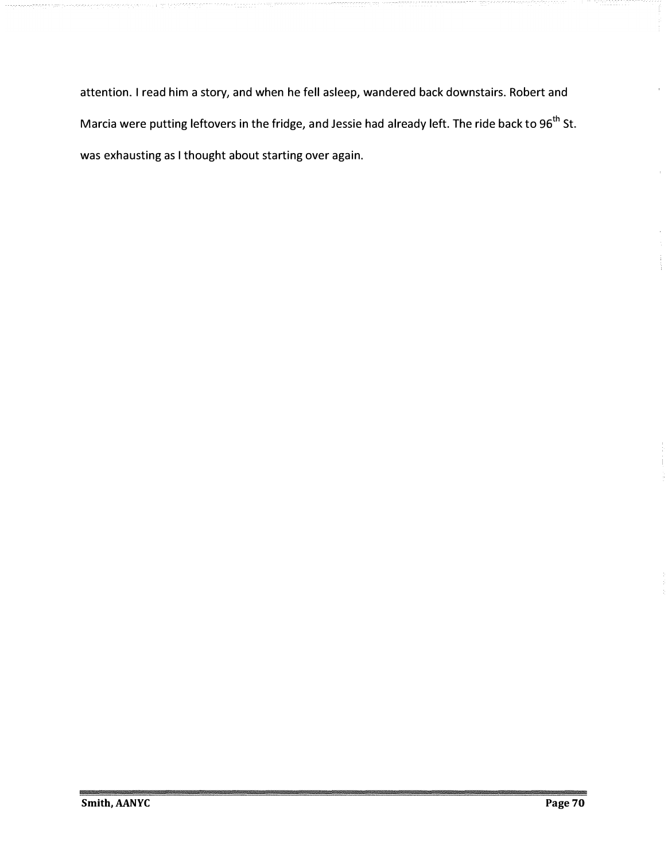attention. I read him a story, and when he fell asleep, wandered back downstairs. Robert and Marcia were putting leftovers in the fridge, and Jessie had already left. The ride back to 96<sup>th</sup> St. was exhausting as I thought about starting over again.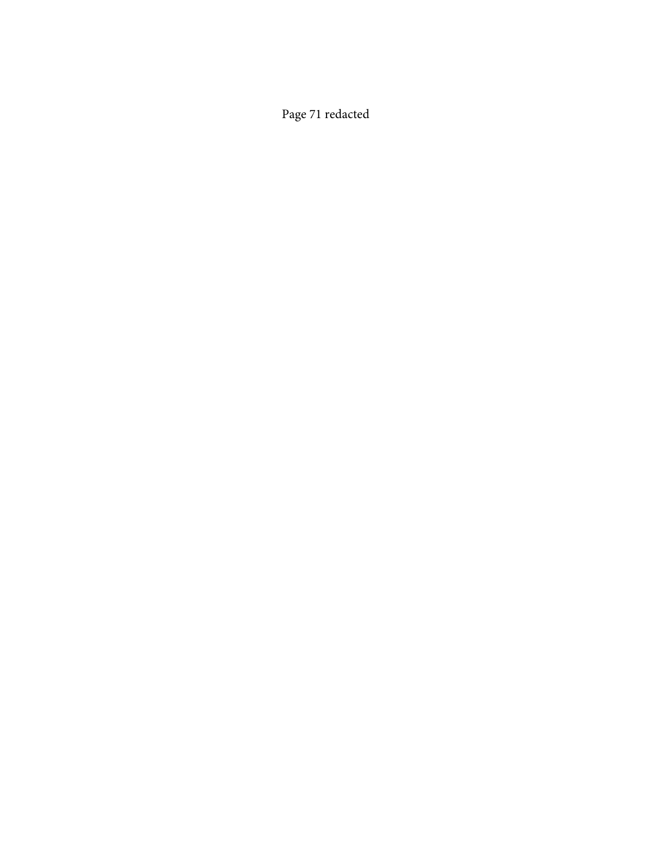Page 71 redacted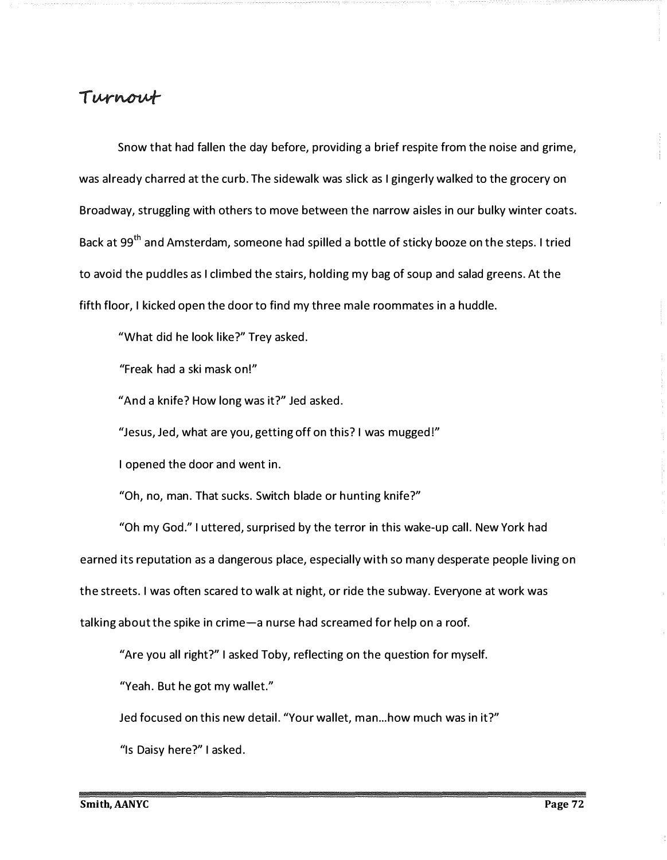### Turnout

Snow that had fallen the day before, providing a brief respite from the noise and grime, was already charred at the curb. The sidewalk was slick as I gingerly walked to the grocery on Broadway, struggling with others to move between the narrow aisles in our bulky winter coats. Back at 99<sup>th</sup> and Amsterdam, someone had spilled a bottle of sticky booze on the steps. I tried to avoid the puddles as I climbed the stairs, holding my bag of soup and salad greens. At the fifth floor, I kicked open the door to find my three male roommates in a huddle.

"What did he look like?" Trey asked.

"Freak had a ski mask on!"

"And a knife? How long was it?" Jed asked.

"Jesus, Jed, what are you, getting off on this? I was mugged!"

I opened the door and went in.

"Oh, no, man. That sucks. Switch blade or hunting knife?"

"Oh my God." I uttered, surprised by the terror in this wake-up call. New York had earned its reputation as a dangerous place, especially with so many desperate people living on the streets. I was often scared to walk at night, or ride the subway. Everyone at work was talking about the spike in crime-a nurse had screamed for help on a roof.

"Are you all right?" I asked Toby, reflecting on the question for myself.

"Yeah. But he got my wallet."

Jed focused on this new detail. "Your wallet, man... how much was in it?"

"Is Daisy here?" I asked.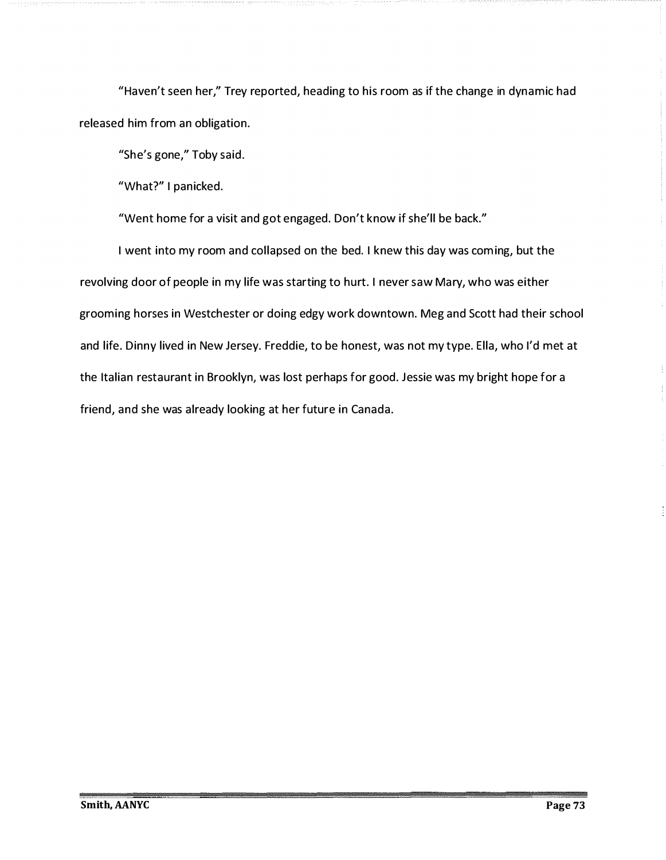"Haven't seen her," Trey reported, heading to his room as if the change in dynamic had released him from an obligation.

"She's gone," Toby said.

"What?" I panicked.

"Went home for a visit and got engaged. Don't know if she'll be back."

I went into my room and collapsed on the bed. I knew this day was coming, but the revolving door of people in my life was starting to hurt. I never saw Mary, who was either grooming horses in Westchester or doing edgy work downtown. Meg and Scott had their school and life. Dinny lived in New Jersey. Freddie, to be honest, was not my type. Ella, who I'd met at the Italian restaurant in Brooklyn, was lost perhaps for good. Jessie was my bright hope for a friend, and she was already looking at her future in Canada.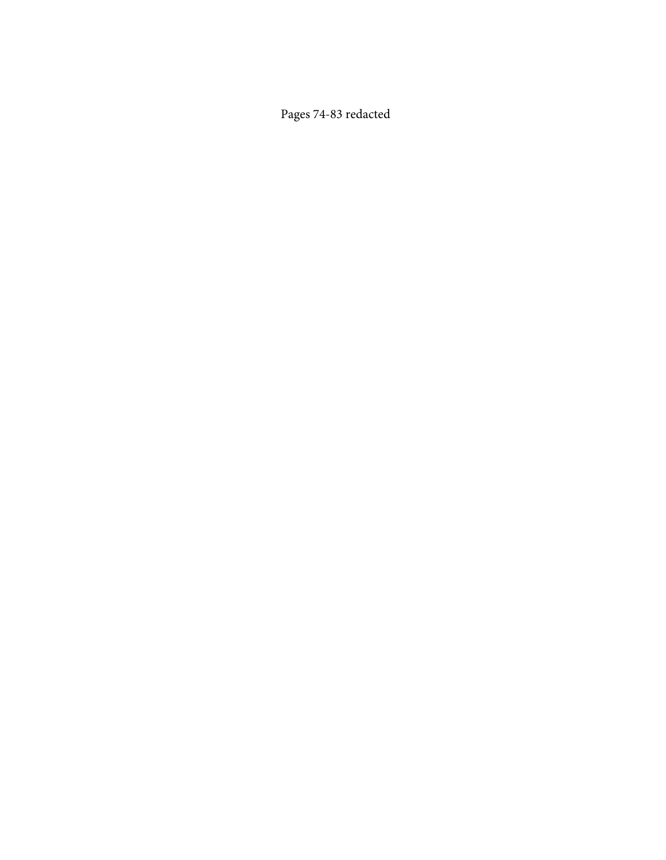Pages 74-83 redacted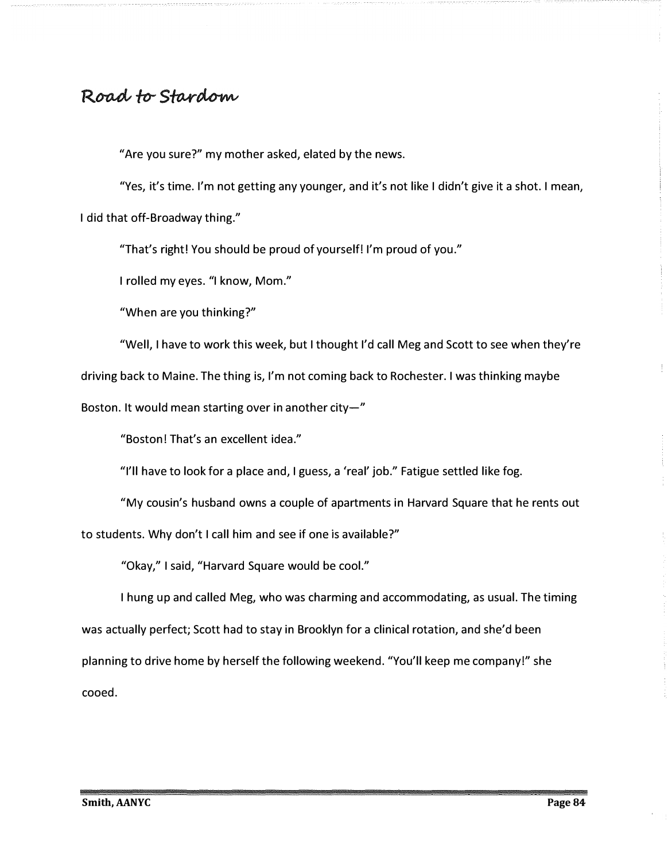# Road to Stardom

"Are you sure?" my mother asked, elated by the news.

"Yes, it's time. I'm not getting any younger, and it's not like I didn't give it a shot. I mean, I did that off-Broadway thing."

"That's right! You should be proud of yourself! I'm proud of you."

I rolled my eyes. "I know, Mom."

"When are you thinking?"

"Well, I have to work this week, but I thought I'd call Meg and Scott to see when they're

driving back to Maine. The thing is, I'm not coming back to Rochester. I was thinking maybe

Boston. It would mean starting over in another city- $"$ 

"Boston! That's an excellent idea."

"I'll have to look for a place and, I guess, a 'real' job." Fatigue settled like fog.

"My cousin's husband owns a couple of apartments in Harvard Square that he rents out

to students. Why don't I call him and see if one is available?"

"Okay," I said, "Harvard Square would be cool."

I hung up and called Meg, who was charming and accommodating, as usual. The timing was actually perfect; Scott had to stay in Brooklyn for a clinical rotation, and she'd been planning to drive home by herself the following weekend. "You'll keep me company!" she cooed.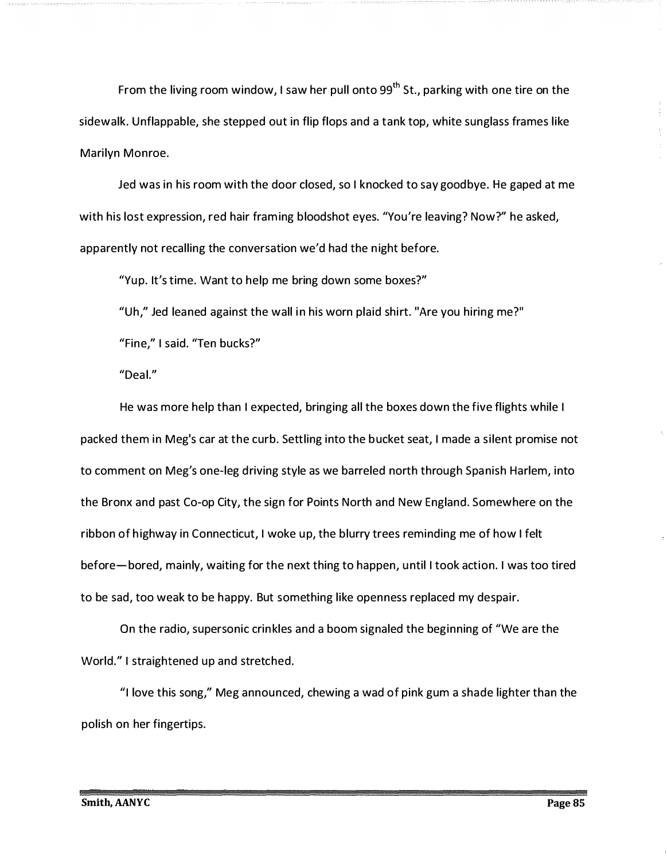From the living room window, I saw her pull onto  $99<sup>th</sup>$  St., parking with one tire on the sidewalk. Unflappable, she stepped out in flip flops and a tank top, white sunglass frames like Marilyn Monroe.

Jed was in his room with the door closed, so I knocked to say goodbye. He gaped at me with his lost expression, red hair framing bloodshot eyes. "You're leaving? Now?" he asked, apparently not recalling the conversation we'd had the night before.

"Yup. It's time. Want to help me bring down some boxes?"

"Uh," Jed leaned against the wall in his worn plaid shirt. "Are you hiring me?"

"Fine," I said. "Ten bucks?"

"Deal."

He was more help than I expected, bringing all the boxes down the five flights while I packed them in Meg's car at the curb. Settling into the b ucket seat, I made a silent promise not to comment on Meg's one-leg driving style as we barreled north through Spanish Harlem, into the Bronx and past Co-op City, the sign for Points North and New England. Somewhere on the ribbon of highway in Connecticut, I woke up, the blurry trees reminding me of how I felt before- bored, mainly, waiting for the next thing to happen, u ntil I took action. I was too tired to be sad, too weak to be happy. But something like openness replaced my despair.

On the radio, supersonic crin kles and a boom signaled the beginning of "We are the World." I straightened up and stretched.

"I love this song," Meg announced, chewing a wad of pink gum a shade lighter than the polish on her fingertips.